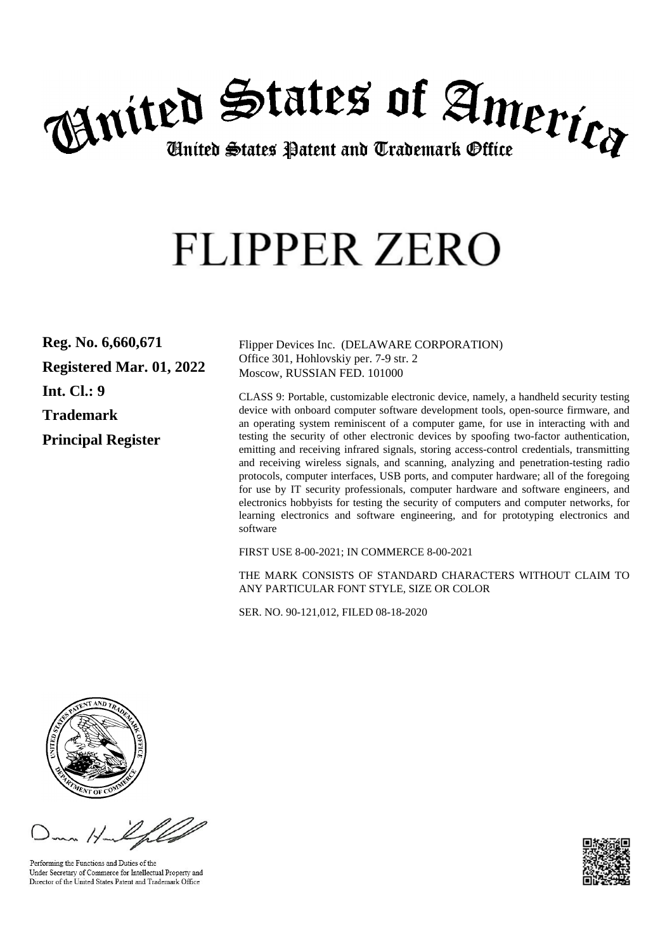

# **FLIPPER ZERO**

**Reg. No. 6,660,671 Registered Mar. 01, 2022 Int. Cl.: 9 Trademark Principal Register**

Flipper Devices Inc. (DELAWARE CORPORATION) Office 301, Hohlovskiy per. 7-9 str. 2 Moscow, RUSSIAN FED. 101000

CLASS 9: Portable, customizable electronic device, namely, a handheld security testing device with onboard computer software development tools, open-source firmware, and an operating system reminiscent of a computer game, for use in interacting with and testing the security of other electronic devices by spoofing two-factor authentication, emitting and receiving infrared signals, storing access-control credentials, transmitting and receiving wireless signals, and scanning, analyzing and penetration-testing radio protocols, computer interfaces, USB ports, and computer hardware; all of the foregoing for use by IT security professionals, computer hardware and software engineers, and electronics hobbyists for testing the security of computers and computer networks, for learning electronics and software engineering, and for prototyping electronics and software

FIRST USE 8-00-2021; IN COMMERCE 8-00-2021

THE MARK CONSISTS OF STANDARD CHARACTERS WITHOUT CLAIM TO ANY PARTICULAR FONT STYLE, SIZE OR COLOR

SER. NO. 90-121,012, FILED 08-18-2020



Performing the Functions and Duties of the Under Secretary of Commerce for Intellectual Property and Director of the United States Patent and Trademark Office